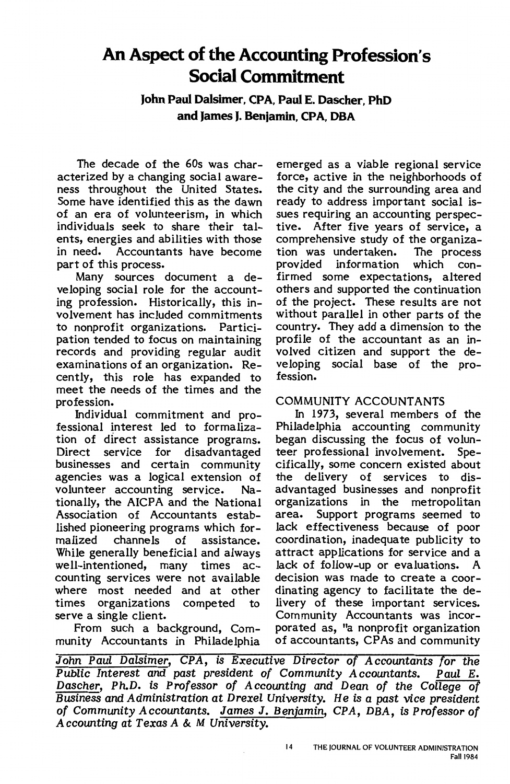# **An Aspect of the Accounting Profession's Social Commitment**

**John Paul Dalsimer, CPA, Paul E. Dascher, PhD and James J. Benjamin, CPA, OBA** 

The decade of the 60s was characterized by a changing social awareness throughout the United States. Some have identified this as the dawn of an era of volunteerism, in which individuals seek to share their talents, energies and abilities with those in need. Accountants have become part of this process.

Many sources document a developing social role for the accounting profession. Historically, this involvement has included commitments to nonprofit organizations. Participation tended to focus on maintaining records and providing regular audit examinations of an organization. Recently, this role has expanded to meet the needs of the times and the profession.

fessional interest led to formaliza- Philadelphia accounting community tion of direct assistance programs. began discussing the focus of volun-<br>Direct service for disadvantaged teer professional involvement. Spe-Direct service for disadvantaged teer professional involvement. Spe-<br>businesses and certain community cifically, some concernexisted about businesses and certain community cifically, some-concern-existed-about<br>agencies was a logical extension of the delivery of services to disagencies was a logical extension of the delivery of services to dis-<br>volunteer accounting service. Na- advantaged businesses and nonprofit volunteer accounting service. Na- advantaged businesses and nonprofit tionally, the AICPA and the National organizations in the metropolitan tionally, the AICPA and the National<br>Association of Accountants established pioneering programs which formalized channels of assistance. coordination, inadequate publicity to While generally beneficial and always attract applications for service and a While generally beneficial and always attract applications for service and a well-intentioned, many times ac- lack of follow-up or evaluations. A counting services were not available decision was made to create a coorwhere most needed and at other times organizations competed to livery of these important services.

munity Accountants in Philadelphia

emerged as a viable regional service force, active in the neighborhoods of the city and the surrounding area and ready to address important social issues requiring an accounting perspective. After five years of service, a comprehensive study of the organization was undertaken. The process provided information firmed some expectations, altered others and supported the continuation of the project. These results are not without parallel in other parts of the country. They add a dimension to the profile of the accountant as an involved citizen and support the developing social base of the profession.

COMMUNITY ACCOUNTANTS<br>In 1973, several members of the Individual commitment and pro-<br>
sional interest led to formaliza- Philadelphia accounting community area. Support programs seemed to<br>lack effectiveness because of poor serve a single client.<br>From such a background, Com- porated as, "a nonprofit organization From such a background, Com- porated as, "a nonprofit organization<br>nity Accountants in Philadelphia of accountants, CPAs and community

John Paul Dalsimer, CPA, is Executive Director of Accountants for the Public Interest and past president of Community Accountants. Paul E. Public Interest and past president of Community Accountants. Dascher, Ph.D. is Professor of Accounting and Dean of the College of Business and Administration at Drexel University. He is a past vice president of Community Accountants. James J. Benjamin, CPA, DBA, is Professor of Accounting at Texas A & M University.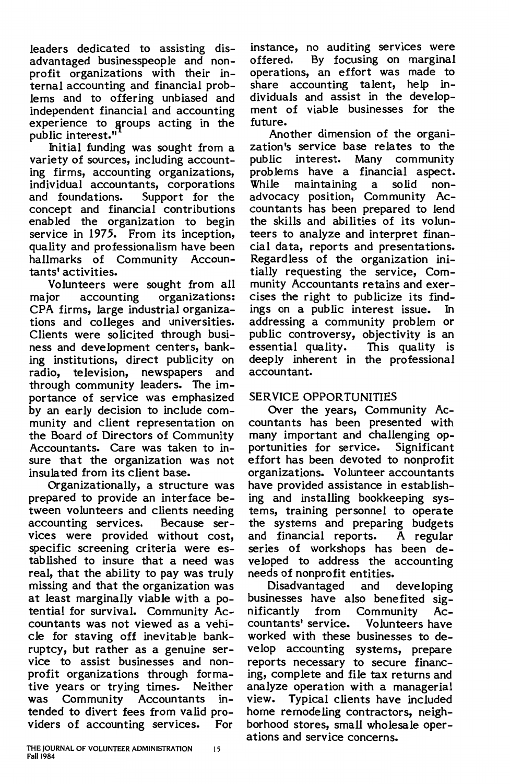leaders dedicated to assisting disadvantaged businesspeople and nonprofit organizations with their internal accounting and financial problems and to offering unbiased and independent financial and accounting experience to groups acting in the public interest."

Initial funding was sought from a variety of sources, including accounting firms, accounting organizations, individual accountants, corporations and foundations. Support for the concept and financial contributions enabled the organization to begin service in 1975. From its inception, quality and professionalism have been hallmarks of Community Accountants' activities.

Volunteers were sought from all major accounting organizations: CPA firms, large industrial organizations and colleges and universities. Clients were solicited through business and development centers, banking institutions, direct publicity on radio, television, newspapers and through community leaders. The importance of service was emphasized by an early decision to include community and client representation on the Board of Directors of Community Accountants. Care was taken to insure that the organization was not insulated from its client base.

Organizationally, a structure was prepared to provide an interface between volunteers and clients needing accounting services. Because services were provided without cost, specific screening criteria were established to insure that a need was real, that the ability to pay was truly missing and that the organization was at least marginally viable with a potential for survival. Community Accountants was not viewed as a vehicle for staving off inevitable bankruptcy, but rather as a genuine service to assist businesses and nonprofit organizations through formative years or trying times. Neither was Community Accountants intended to divert fees from valid providers of accounting services. For

instance, no auditing services were offered. By focusing on marginal operations, an effort was made to share accounting talent, help individuals and assist in the development of viable businesses for the future.

Another dimension of the organization's service base relates to the public interest. Many community problems have a financial aspect. While maintaining a solid nonadvocacy position, Community Accountants has been prepared to lend the skills and abilities of its volunteers to analyze and interpret financial data, reports and presentations. Regardless of the organization initially requesting the service, Community Accountants retains and exercises the right to publicize its findings on a public interest issue. In addressing a community problem or public controversy, objectivity is an essential quality. This quality is deeply inherent in the professional accountant.

### SERVICE OPPORTUNITIES

Over the years, Community Accountants has been presented with many important and challenging opportunities for service. Significant effort has been devoted to nonprofit organizations. Volunteer accountants have provided assistance in establishing and installing bookkeeping systems, training personnel to operate the systems and preparing budgets and financial reports. A regular series of workshops has been developed to address the accounting needs of nonprofit entities.

Disadvantaged and developing businesses have also benefited **sig**nificantly from Community Accountants' service. Volunteers have worked with these businesses to develop accounting systems, prepare reports necessary to secure financing, complete and file tax returns and analyze operation with a managerial view. Typical clients have included home remodeling contractors, neighborhood stores, small wholesale operations and service concerns.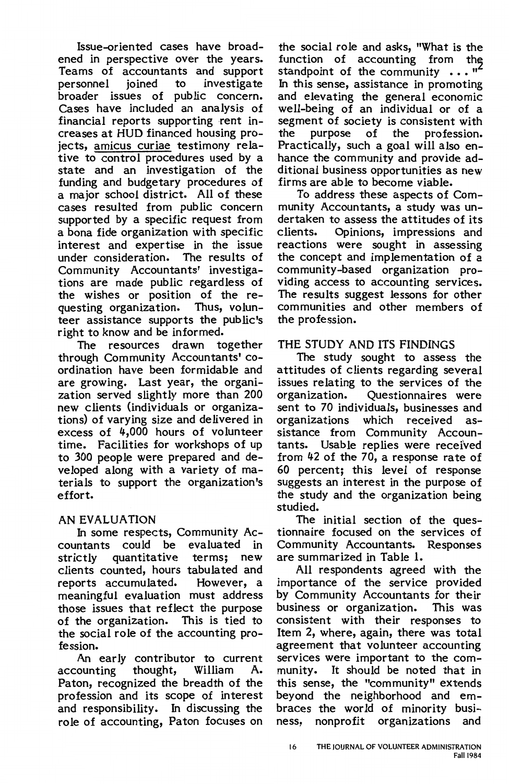Issue-oriented cases have broadened in perspective over the years. Teams of accountants and support personnel joined to investigate broader issues of public concern. Cases have included an analysis of financial reports supporting rent increases at HUD financed housing projects, amicus curiae testimony relative to control procedures used by a state and an investigation of the funding and budgetary procedures of a major school district. All of these cases resulted from public concern supported by a specific request from a bona fide organization with specific interest and expertise in the issue under consideration. Community Accountants' investigations are made public regardless of the wishes or position of the re-<br>questing organization. Thus, volunquesting organization. teer assistance supports the public's right to know and be informed.

The resources drawn together through Community Accountants' coordination have been formidable and are growing. Last year, the organization served slightly more than 200 new clients (individuals or organizations) of varying size and delivered in excess of 4,000 hours of volunteer time. Facilities for workshops of up to 300 people were prepared and developed along with a variety of materials to support the organization's effort.

### AN EVALUATION

In some respects, Community Accountants could be evaluated in strictly quantitative terms; new clients counted, hours tabulated and reports accumulated. However, a meaningful evaluation must address those issues that reflect the purpose<br>of the organization. This is tied to of the organization. the social role of the accounting profession.

An early contributor to current<br>ounting thought, William A. accounting Paton, recognized the breadth of the profession and its scope of interest and responsibility. In discussing the role of accounting, Paton focuses on

the social role and asks, "What is the function of accounting from the standpoint of the community  $\cdots$  " In this sense, assistance in promoting and elevating the general economic well-being of an individual or of a segment of society is consistent with<br>the purpose of the profession. purpose of the profession. Practically, such a goal will also enhance the community and provide additional business opportunities as new firms are able to become viable.

To address these aspects of Community Accountants, a study was undertaken to assess the attitudes of its<br>clients. Opinions, impressions and Opinions, impressions and reactions were sought in assessing the concept and implementation of a community-based organization providing access to accounting services. The results suggest lessons for other communities and other members of the profession.

## THE STUDY AND ITS FINDINGS

The study sought to assess the attitudes of clients regarding several issues relating to the services of the organization. Questionnaires were sent to 70 individuals, businesses and<br>organizations which received asorganizations which sistance from Community Accountants. Usable replies were received from 42 of the 70, a response rate of 60 percent; this level of response suggests an interest in the purpose of the study and the organization being studied.

The initial section of the questionnaire focused on the services of Community Accountants. Responses are summarized in Table 1.

All respondents agreed with the importance of the service provided by Community Accountants for their business or organization. This was consistent with their responses to Item 2, where, again, there was total agreement that volunteer accounting services were important to the community. It should be noted that in this sense, the "community" extends beyond the neighborhood and embraces the world of minority business, nonprofit organizations and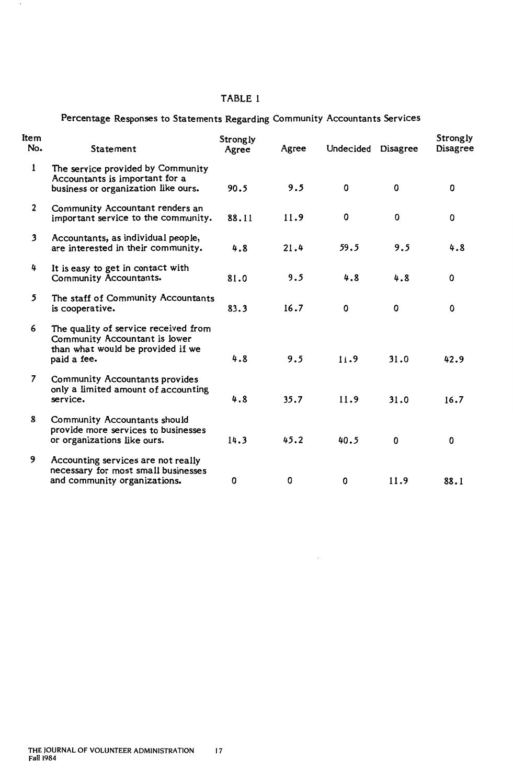#### TABLE 1

 $\sim$ 

|  |  | Percentage Responses to Statements Regarding Community Accountants Services |  |  |  |  |
|--|--|-----------------------------------------------------------------------------|--|--|--|--|
|--|--|-----------------------------------------------------------------------------|--|--|--|--|

| Item<br>No.  | Statement                                                                                                                 | Strongly<br>Agree | Agree | Undecided | <b>Disagree</b> | Strongly<br>Disagree |
|--------------|---------------------------------------------------------------------------------------------------------------------------|-------------------|-------|-----------|-----------------|----------------------|
| 1            | The service provided by Community<br>Accountants is important for a<br>business or organization like ours.                | 90.5              | 9.5   | $\Omega$  | 0               | 0                    |
| $\mathbf{2}$ | Community Accountant renders an<br>important service to the community.                                                    | 88.11             | 11.9  | 0         | 0               | 0                    |
| 3            | Accountants, as individual people,<br>are interested in their community.                                                  | 4.8               | 21.4  | 59.5      | 9.5             | 4.8                  |
| 4            | It is easy to get in contact with<br>Community Accountants.                                                               | 81.0              | 9.5   | 4.8       | 4.8             | 0                    |
| 5            | The staff of Community Accountants<br>is cooperative.                                                                     | 83.3              | 16.7  | 0         | 0               | 0                    |
| 6            | The quality of service received from<br>Community Accountant is lower<br>than what would be provided if we<br>paid a fee. | 4.8               | 9.5   | 11.9      | 31.0            | 42.9                 |
| 7            | Community Accountants provides<br>only a limited amount of accounting<br>service.                                         | 4.8               | 35.7  | 11.9      | 31.0            | 16.7                 |
| 8            | Community Accountants should<br>provide more services to businesses<br>or organizations like ours.                        | 14.3              | 45.2  | 40.5      | 0               | 0                    |
| 9            | Accounting services are not really<br>necessary for most small businesses<br>and community organizations.                 | 0                 | 0     | 0         | 11.9            | 88.1                 |

 $\sim$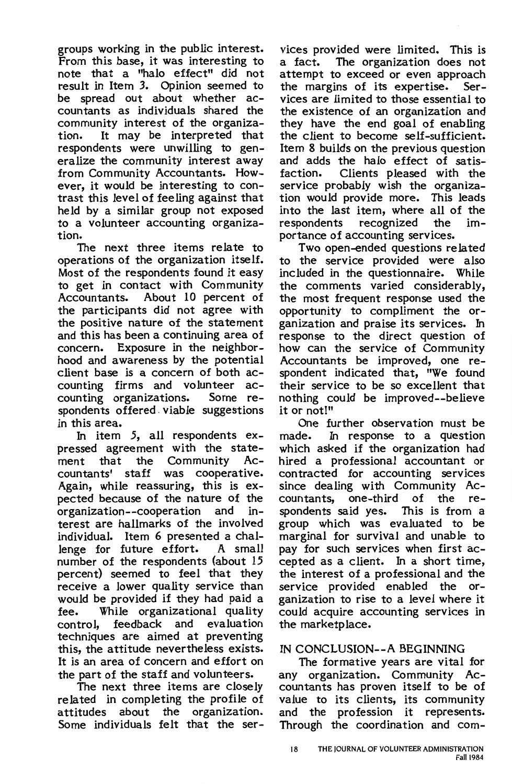groups working in the public interest. From this base, it was interesting to note that a "halo effect" did not result in Item 3. Opinion seemed to be spread out about whether accountants as individuals shared the community interest of the organization. It may be interpreted that respondents were unwilling to generalize the community interest away from Community Accountants. However, it would be interesting to contrast this level of feeling against that held by a similar group not exposed to a volunteer accounting organization.

The next three items relate to operations of the organization itself. Most of the respondents found it easy to get in contact with Community Accountants. About 10 percent of the participants did not agree with the positive nature of the statement and this has been a continuing area of concern. Exposure in the neighborhood and awareness by the potential client base is a concern of both accounting firms and volunteer accounting organizations. spondents offered. viable suggestions in this area.

In item *5,* all respondents expressed agreement with the statement that the Community Accountants' staff was cooperative. Again, while reassuring, this is expected because of the nature of the organization--cooperation and interest are hallmarks of the involved individual. Item 6 presented a challenge for future effort. A small number of the respondents (about 15 percent) seemed to feel that they receive a lower quality service than would be provided if they had paid a fee. While organizational quality control, feedback and evaluation techniques are aimed at preventing this, the attitude nevertheless exists. It is an area of concern and effort on the part of the staff and volunteers.

The next three items are closely related in completing the profile of attitudes about the organization. Some individuals felt that the ser-

vices provided were limited. This is a fact. The organization does not attempt to exceed or even approach the margins of its expertise. Services are limited to those essential to the existence of an organization and they have the end goal of enabling the client to become self-sufficient. Item 8 builds on the previous question and adds the halo effect of satisfaction. Clients pleased with the service probably wish the organization would provide more. This leads into the last item, where all of the respondents recognized the importance of accounting services.

Two open-ended questions related to the service provided were also included in the questionnaire. While the comments varied considerably, the most frequent response used the opportunity to compliment the organization and praise its services. In response to the direct question of how can the service of Community Accountants be improved, one respondent indicated that, "We found their service to be so excellent that nothing could be improved--believe it or not!"

One further observation must be made. In response to a question which asked if the organization had hired a professional accountant or contracted for accounting services since dealing with Community Accountants, one-third of the respondents said yes. This is from a group which was evaluated to be marginal for survival and unable to pay for such services when first accepted as a client. In a short time, the interest of a professional and the service provided enabled the organization to rise to a level where it could acquire accounting services in the marketplace.

### IN CONCLUSION--A BEGINNING

The formative years are vital for any organization. Community Accountants has proven itself to be of value to its clients, its community and the profession it represents. Through the coordination and com